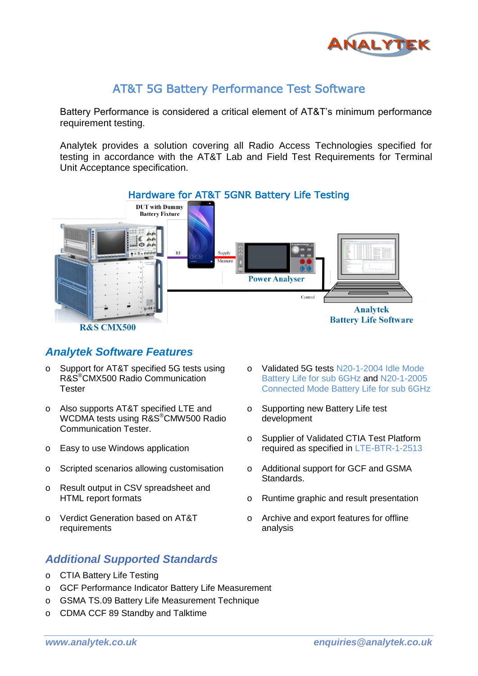

## AT&T 5G Battery Performance Test Software

Battery Performance is considered a critical element of AT&T's minimum performance requirement testing.

Analytek provides a solution covering all Radio Access Technologies specified for testing in accordance with the AT&T Lab and Field Test Requirements for Terminal Unit Acceptance specification.



#### *Analytek Software Features*

- o Support for AT&T specified 5G tests using R&S®CMX500 Radio Communication **Tester**
- o Also supports AT&T specified LTE and WCDMA tests using R&S®CMW500 Radio Communication Tester.
- o Easy to use Windows application
- o Scripted scenarios allowing customisation
- o Result output in CSV spreadsheet and HTML report formats
- o Verdict Generation based on AT&T requirements

### *Additional Supported Standards*

- o CTIA Battery Life Testing
- o GCF Performance Indicator Battery Life Measurement
- o GSMA TS.09 Battery Life Measurement Technique
- o CDMA CCF 89 Standby and Talktime
- o Validated 5G tests N20-1-2004 Idle Mode Battery Life for sub 6GHz and N20-1-2005 Connected Mode Battery Life for sub 6GHz
- o Supporting new Battery Life test development
- o Supplier of Validated CTIA Test Platform required as specified in LTE-BTR-1-2513
- o Additional support for GCF and GSMA Standards.
- o Runtime graphic and result presentation
- o Archive and export features for offline analysis